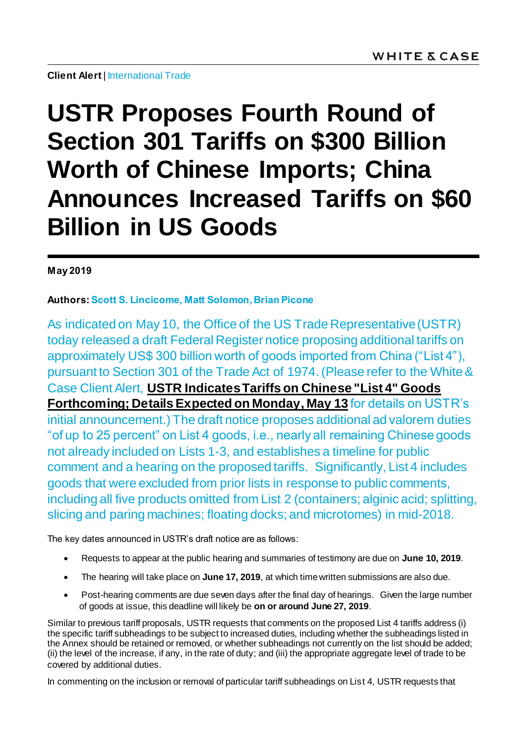**Client Alert | International Trade** 

## **USTR Proposes Fourth Round of Section 301 Tariffs on \$300 Billion Worth of Chinese Imports; China Announces Increased Tariffs on \$60 Billion in US Goods**

## **May 2019**

## **Authors: Scott S. Lincicome, Matt Solomon, Brian Picone**

As indicated on May 10, the Office of the US Trade Representative (USTR) today released a draft Federal Register notice proposing additional tariffs on approximately US\$ 300 billion worth of goods imported from China ("List 4"), pursuant to Section 301 of the Trade Act of 1974.(Please refer to the White & Case Client Alert, **[USTR Indicates Tariffs on Chinese "List 4" Goods](https://www.whitecase.com/publications/alert/ustr-indicates-tariffs-chinese-list-4-goods-forthcoming-details-expected-monday)  [Forthcoming; Details Expected on Monday, May 13](https://www.whitecase.com/publications/alert/ustr-indicates-tariffs-chinese-list-4-goods-forthcoming-details-expected-monday)** for details on USTR's initial announcement.) The draft notice proposes additional ad valorem duties "of up to 25 percent" on List 4 goods, i.e., nearly all remaining Chinese goods not already included on Lists 1-3, and establishes a timeline for public comment and a hearing on the proposed tariffs. Significantly, List 4 includes goods that were excluded from prior lists in response to public comments, including all five products omitted from List 2 (containers; alginic acid; splitting, slicing and paring machines; floating docks; and microtomes) in mid-2018.

The key dates announced in USTR's draft notice are as follows:

- Requests to appear at the public hearing and summaries of testimony are due on **June 10, 2019**.
- The hearing will take place on **June 17, 2019**, at which time written submissions are also due.
- Post-hearing comments are due seven days after the final day of hearings. Given the large number of goods at issue, this deadline will likely be **on or around June 27, 2019**.

Similar to previous tariff proposals, USTR requests that comments on the proposed List 4 tariffs address (i) the specific tariff subheadings to be subject to increased duties, including whether the subheadings listed in the Annex should be retained or removed, or whether subheadings not currently on the list should be added; (ii) the level of the increase, if any, in the rate of duty; and (iii) the appropriate aggregate level of trade to be covered by additional duties.

In commenting on the inclusion or removal of particular tariff subheadings on List 4, USTR requests that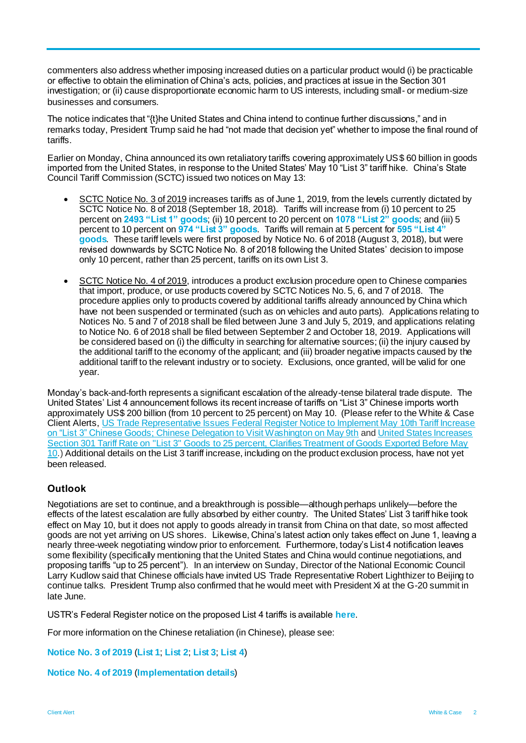commenters also address whether imposing increased duties on a particular product would (i) be practicable or effective to obtain the elimination of China's acts, policies, and practices at issue in the Section 301 investigation; or (ii) cause disproportionate economic harm to US interests, including small- or medium-size businesses and consumers.

The notice indicates that "{t}he United States and China intend to continue further discussions," and in remarks today, President Trump said he had "not made that decision yet" whether to impose the final round of tariffs.

Earlier on Monday, China announced its own retaliatory tariffs covering approximately US\$ 60 billion in goods imported from the United States, in response to the United States' May 10 "List 3" tariff hike. China's State Council Tariff Commission (SCTC) issued two notices on May 13:

- SCTC Notice No. 3 of 2019 increases tariffs as of June 1, 2019, from the levels currently dictated by SCTC Notice No. 8 of 2018 (September 18, 2018). Tariffs will increase from (i) 10 percent to 25 percent on **[2493 "List 1" goods](http://gss.mof.gov.cn/zhengwuxinxi/zhengcefabu/201905/P020190513719203602248.pdf)**; (ii) 10 percent to 20 percent on **[1078 "List 2" goods](http://gss.mof.gov.cn/zhengwuxinxi/zhengcefabu/201905/P020190513719204287788.pdf)**; and (iii) 5 percent to 10 percent on **[974 "List 3" goods](http://gss.mof.gov.cn/zhengwuxinxi/zhengcefabu/201905/P020190513719204715521.pdf)**. Tariffs will remain at 5 percent for **[595 "List 4"](http://gss.mof.gov.cn/zhengwuxinxi/zhengcefabu/201905/P020190513719205123756.pdf)  [goods](http://gss.mof.gov.cn/zhengwuxinxi/zhengcefabu/201905/P020190513719205123756.pdf)**. These tariff levels were first proposed by Notice No. 6 of 2018 (August 3, 2018), but were revised downwards by SCTC Notice No. 8 of 2018 following the United States' decision to impose only 10 percent, rather than 25 percent, tariffs on its own List 3.
- SCTC Notice No. 4 of 2019, introduces a product exclusion procedure open to Chinese companies that import, produce, or use products covered by SCTC Notices No. 5, 6, and 7 of 2018. The procedure applies only to products covered by additional tariffs already announced by China which have not been suspended or terminated (such as on vehicles and auto parts). Applications relating to Notices No. 5 and 7 of 2018 shall be filed between June 3 and July 5, 2019, and applications relating to Notice No. 6 of 2018 shall be filed between September 2 and October 18, 2019. Applications will be considered based on (i) the difficulty in searching for alternative sources; (ii) the injury caused by the additional tariff to the economy of the applicant; and (iii) broader negative impacts caused by the additional tariff to the relevant industry or to society. Exclusions, once granted, will be valid for one year.

Monday's back-and-forth represents a significant escalation of the already-tense bilateral trade dispute. The United States' List 4 announcement follows its recent increase of tariffs on "List 3" Chinese imports worth approximately US\$ 200 billion (from 10 percent to 25 percent) on May 10. (Please refer to the White & Case Client Alerts, [US Trade Representative Issues Federal Register Notice to Implement May 10th Tariff Increase](https://www.whitecase.com/publications/alert/us-trade-representative-issues-federal-register-notice-implement-may-10th-tariff)  [on "List 3" Chinese Goods; Chinese Delegation to Visit Washington on May 9th](https://www.whitecase.com/publications/alert/us-trade-representative-issues-federal-register-notice-implement-may-10th-tariff) an[d United States Increases](https://www.whitecase.com/publications/alert/united-states-increases-section-301-tariff-rate-list-3-goods-25-percent)  Section 301 Tariff Rate on "List 3" Goods [to 25 percent, Clarifies Treatment of Goods Exported Before May](https://www.whitecase.com/publications/alert/united-states-increases-section-301-tariff-rate-list-3-goods-25-percent)  [10.](https://www.whitecase.com/publications/alert/united-states-increases-section-301-tariff-rate-list-3-goods-25-percent)) Additional details on the List 3 tariff increase, including on the product exclusion process, have not yet been released.

## **Outlook**

Negotiations are set to continue, and a breakthrough is possible—although perhaps unlikely—before the effects of the latest escalation are fully absorbed by either country. The United States' List 3 tariff hike took effect on May 10, but it does not apply to goods already in transit from China on that date, so most affected goods are not yet arriving on US shores. Likewise, China's latest action only takes effect on June 1, leaving a nearly three-week negotiating window prior to enforcement. Furthermore, today's List 4 notification leaves some flexibility (specifically mentioning that the United States and China would continue negotiations, and proposing tariffs "up to 25 percent"). In an interview on Sunday, Director of the National Economic Council Larry Kudlow said that Chinese officials have invited US Trade Representative Robert Lighthizer to Beijing to continue talks. President Trump also confirmed that he would meet with President Xi at the G-20 summit in late June.

USTR's Federal Register notice on the proposed List 4 tariffs is available **[here](https://ustr.gov/sites/default/files/enforcement/301Investigations/May_2019_Proposed_Modification.pdf)**.

For more information on the Chinese retaliation (in Chinese), please see:

**[Notice No. 3 of 2019](http://gss.mof.gov.cn/zhengwuxinxi/zhengcefabu/201905/t20190513_3256788.html)** (**[List 1](http://gss.mof.gov.cn/zhengwuxinxi/zhengcefabu/201905/P020190513719203602248.pdf)**; **[List 2](http://gss.mof.gov.cn/zhengwuxinxi/zhengcefabu/201905/P020190513719204287788.pdf)**; **[List 3](http://gss.mof.gov.cn/zhengwuxinxi/zhengcefabu/201905/P020190513719204715521.pdf)**; **[List 4](http://gss.mof.gov.cn/zhengwuxinxi/zhengcefabu/201905/P020190513719205123756.pdf)**)

**[Notice No. 4 of 2019](http://gss.mof.gov.cn/zhengwuxinxi/zhengcefabu/201905/t20190513_3256786.html)** (**[Implementation details](http://gss.mof.gov.cn/zhengwuxinxi/zhengcefabu/201905/P020190513722406861547.pdf)**)